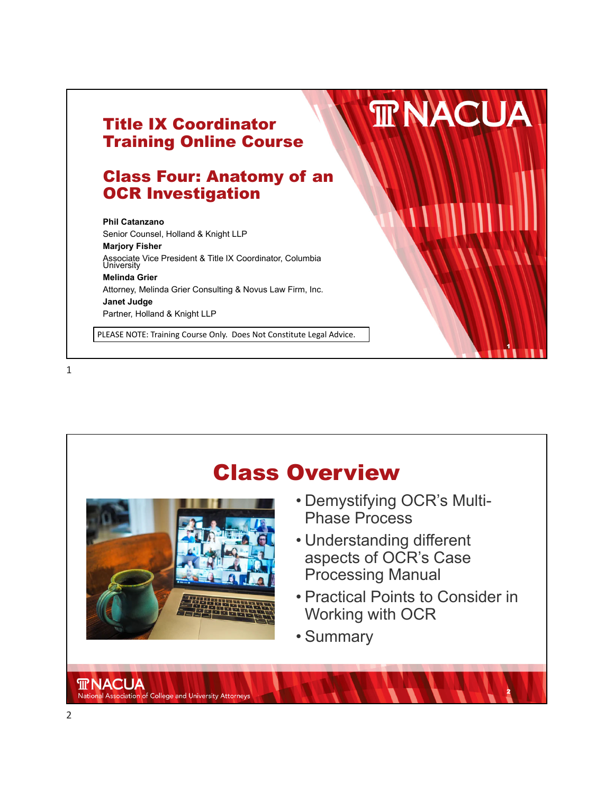



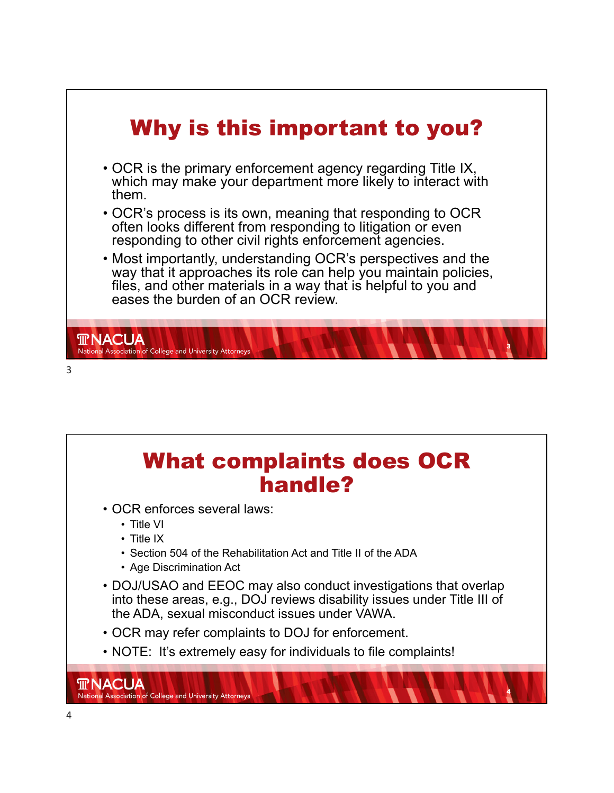



4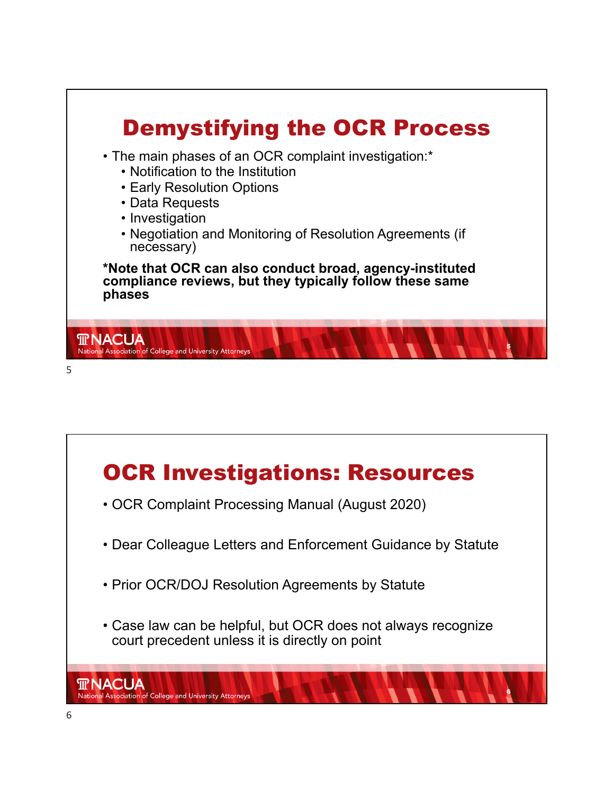

![](_page_2_Figure_1.jpeg)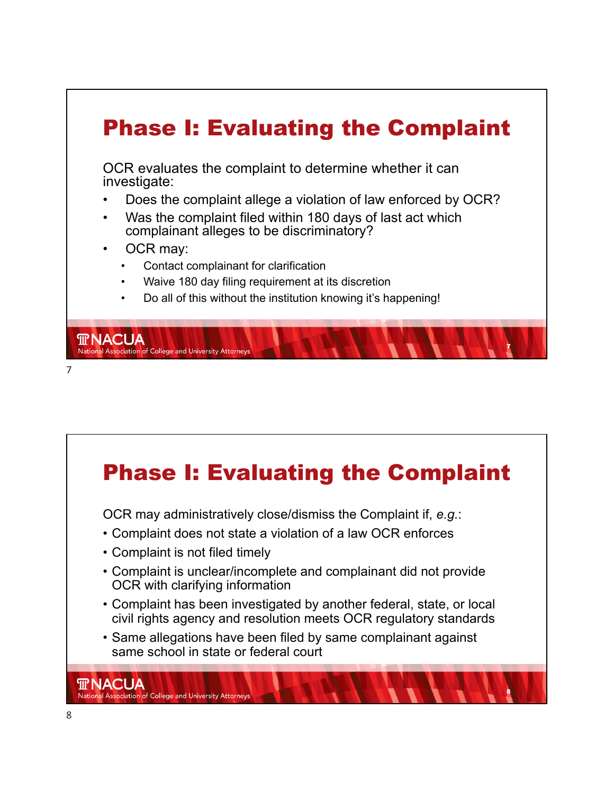## Phase I: Evaluating the Complaint OCR evaluates the complaint to determine whether it can investigate: • Does the complaint allege a violation of law enforced by OCR? • Was the complaint filed within 180 days of last act which complainant alleges to be discriminatory? OCR may: • Contact complainant for clarification • Waive 180 day filing requirement at its discretion • Do all of this without the institution knowing it's happening!

7

7

**TRNACUA** 

National Association of College and University Attorney

![](_page_3_Figure_2.jpeg)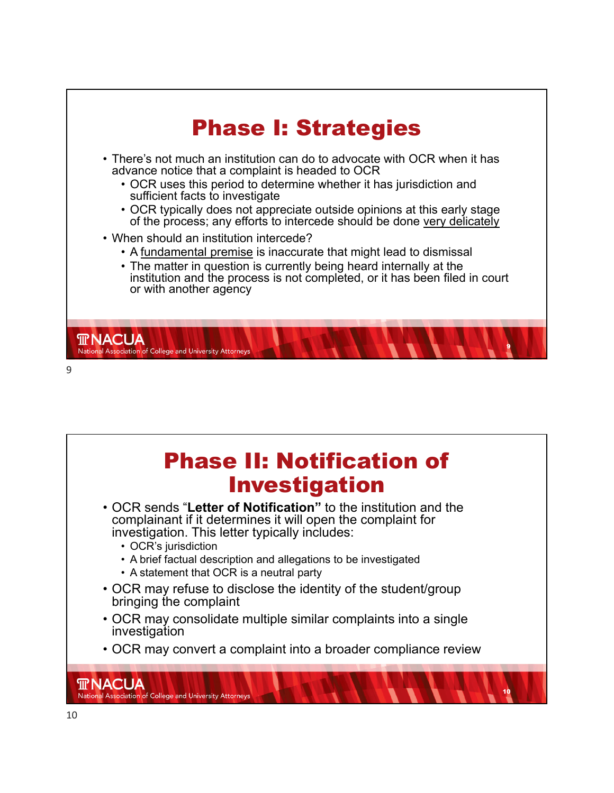![](_page_4_Figure_0.jpeg)

![](_page_4_Picture_1.jpeg)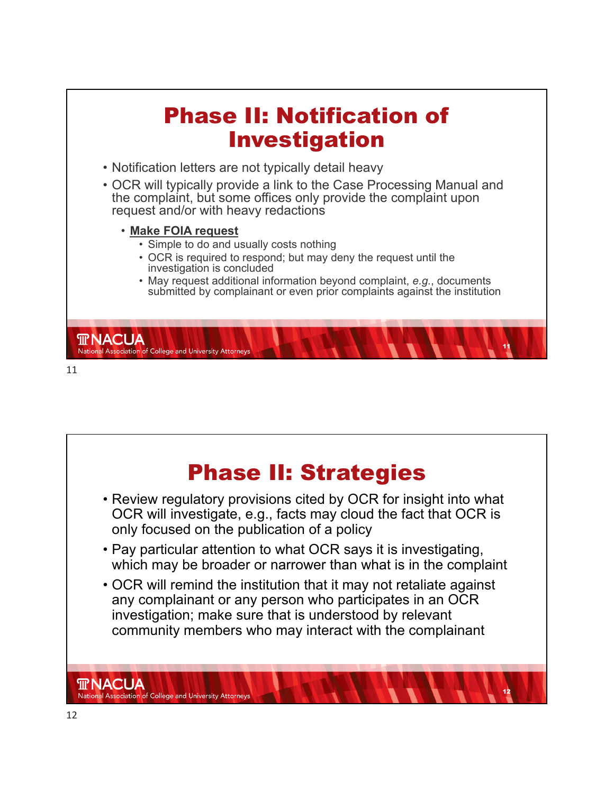![](_page_5_Figure_0.jpeg)

![](_page_5_Picture_1.jpeg)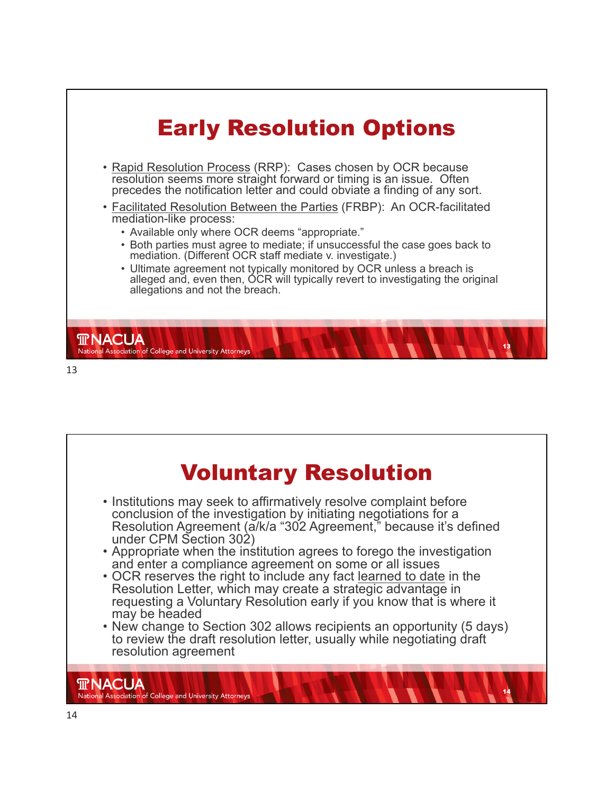![](_page_6_Figure_0.jpeg)

![](_page_6_Picture_1.jpeg)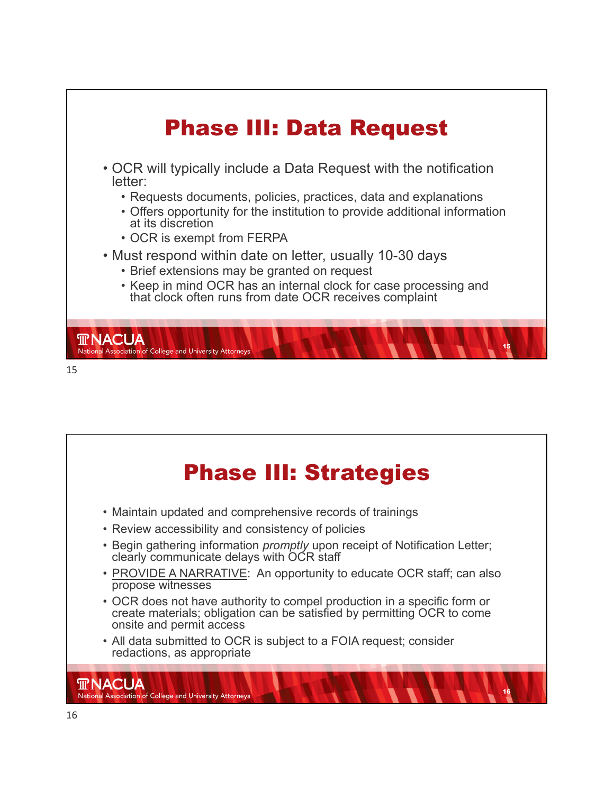![](_page_7_Figure_0.jpeg)

![](_page_7_Picture_1.jpeg)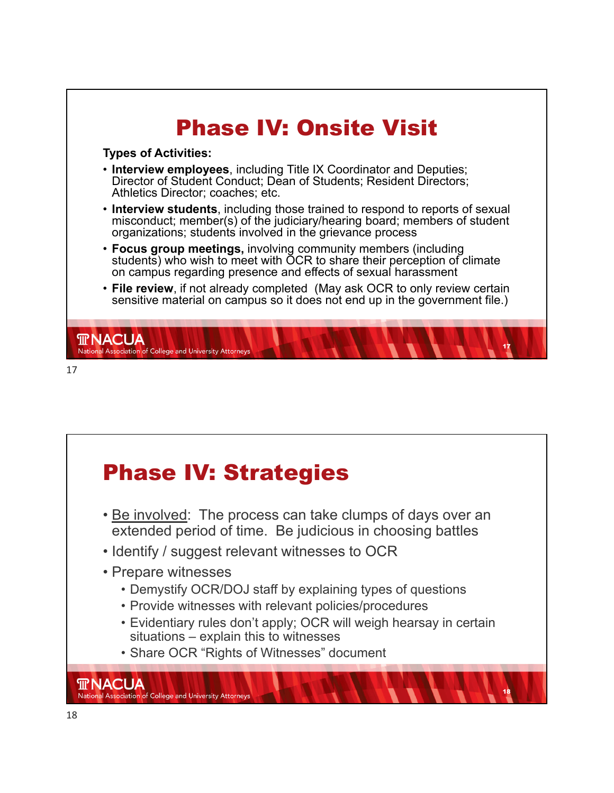![](_page_8_Figure_0.jpeg)

## Phase IV: Strategies • Be involved: The process can take clumps of days over an extended period of time. Be judicious in choosing battles • Identify / suggest relevant witnesses to OCR • Prepare witnesses • Demystify OCR/DOJ staff by explaining types of questions • Provide witnesses with relevant policies/procedures • Evidentiary rules don't apply; OCR will weigh hearsay in certain

situations – explain this to witnesses

18

• Share OCR "Rights of Witnesses" document

**TRACUA**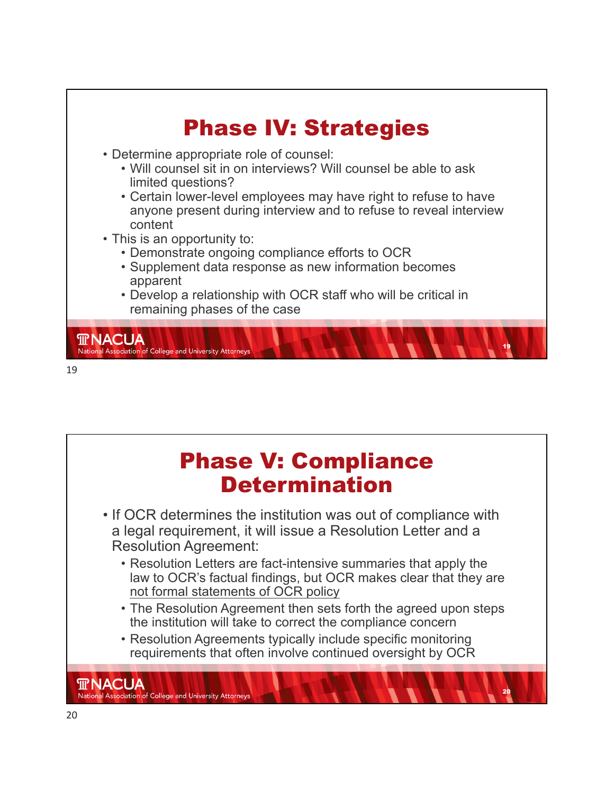![](_page_9_Figure_0.jpeg)

![](_page_9_Picture_1.jpeg)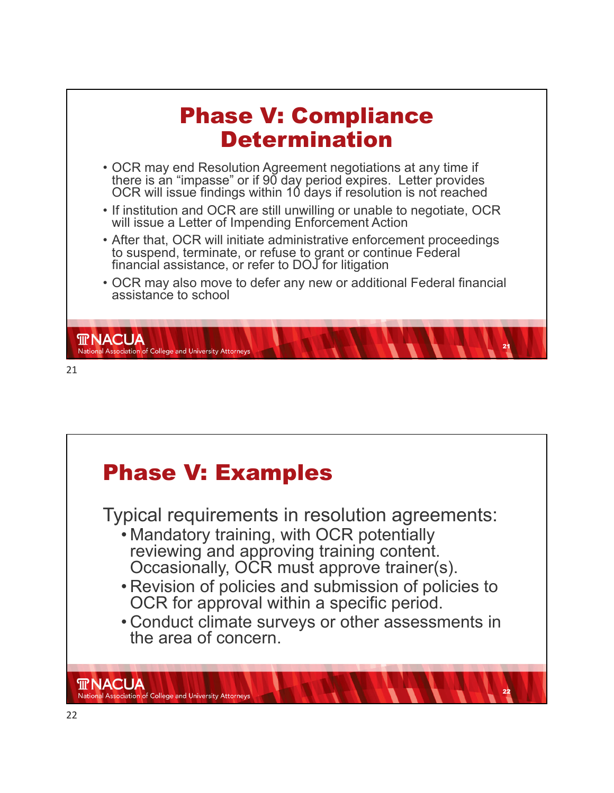![](_page_10_Figure_0.jpeg)

![](_page_10_Picture_1.jpeg)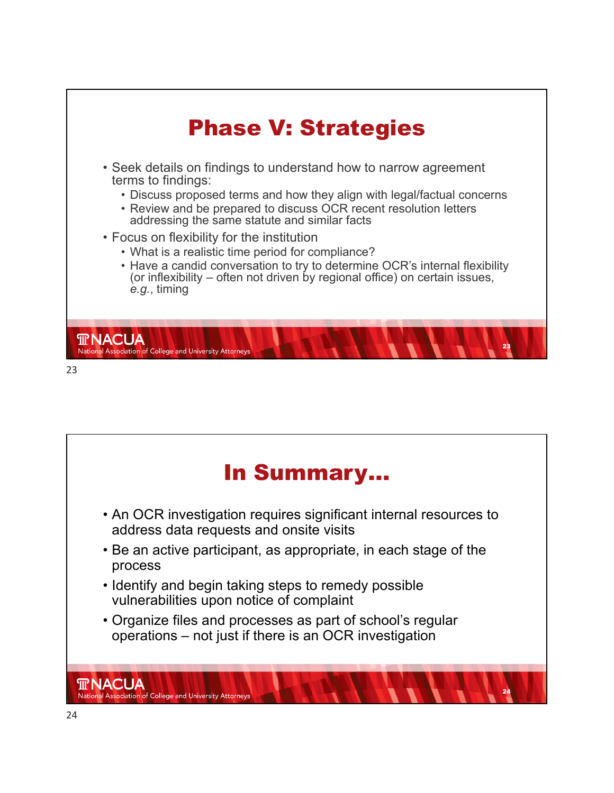![](_page_11_Figure_0.jpeg)

![](_page_11_Picture_1.jpeg)